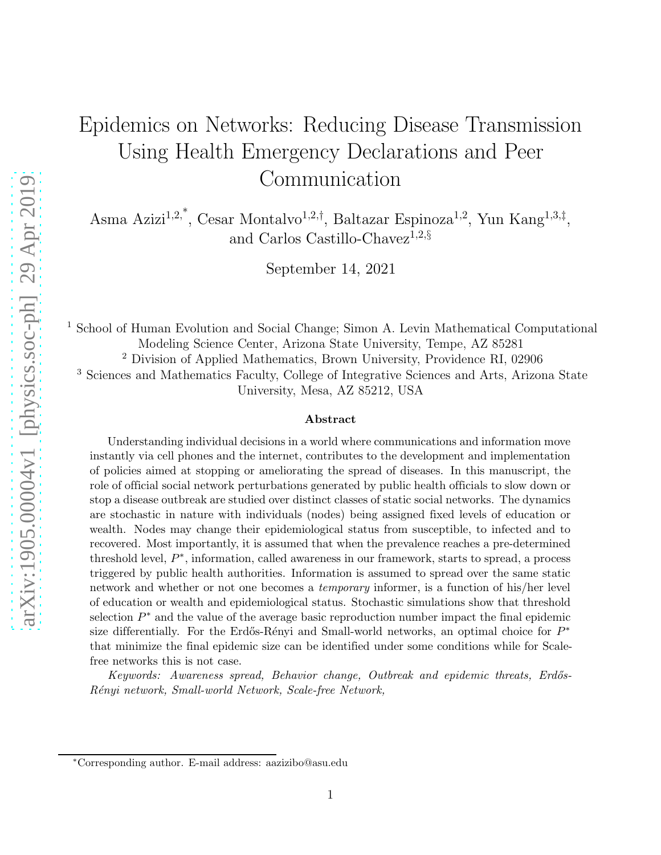# Epidemics on Networks: Reducing Disease Transmission Using Health Emergency Declarations and Peer Communication

Asma Azizi<sup>1,2,\*</sup>, Cesar Montalvo<sup>1,2,†</sup>, Baltazar Espinoza<sup>1,2</sup>, Yun Kang<sup>1,3,‡</sup>, and Carlos Castillo-Chavez<sup>1,2, §</sup>

September 14, 2021

<sup>1</sup> School of Human Evolution and Social Change; Simon A. Levin Mathematical Computational Modeling Science Center, Arizona State University, Tempe, AZ 85281 <sup>2</sup> Division of Applied Mathematics, Brown University, Providence RI, 02906 <sup>3</sup> Sciences and Mathematics Faculty, College of Integrative Sciences and Arts, Arizona State University, Mesa, AZ 85212, USA

#### Abstract

Understanding individual decisions in a world where communications and information move instantly via cell phones and the internet, contributes to the development and implementation of policies aimed at stopping or ameliorating the spread of diseases. In this manuscript, the role of official social network perturbations generated by public health officials to slow down or stop a disease outbreak are studied over distinct classes of static social networks. The dynamics are stochastic in nature with individuals (nodes) being assigned fixed levels of education or wealth. Nodes may change their epidemiological status from susceptible, to infected and to recovered. Most importantly, it is assumed that when the prevalence reaches a pre-determined threshold level,  $P^*$ , information, called awareness in our framework, starts to spread, a process triggered by public health authorities. Information is assumed to spread over the same static network and whether or not one becomes a *temporary* informer, is a function of his/her level of education or wealth and epidemiological status. Stochastic simulations show that threshold selection  $P^*$  and the value of the average basic reproduction number impact the final epidemic size differentially. For the Erdős-Rényi and Small-world networks, an optimal choice for  $P^*$ that minimize the final epidemic size can be identified under some conditions while for Scalefree networks this is not case.

Keywords: Awareness spread, Behavior change, Outbreak and epidemic threats, Erdős-R´enyi network, Small-world Network, Scale-free Network,

<sup>∗</sup>Corresponding author. E-mail address: aazizibo@asu.edu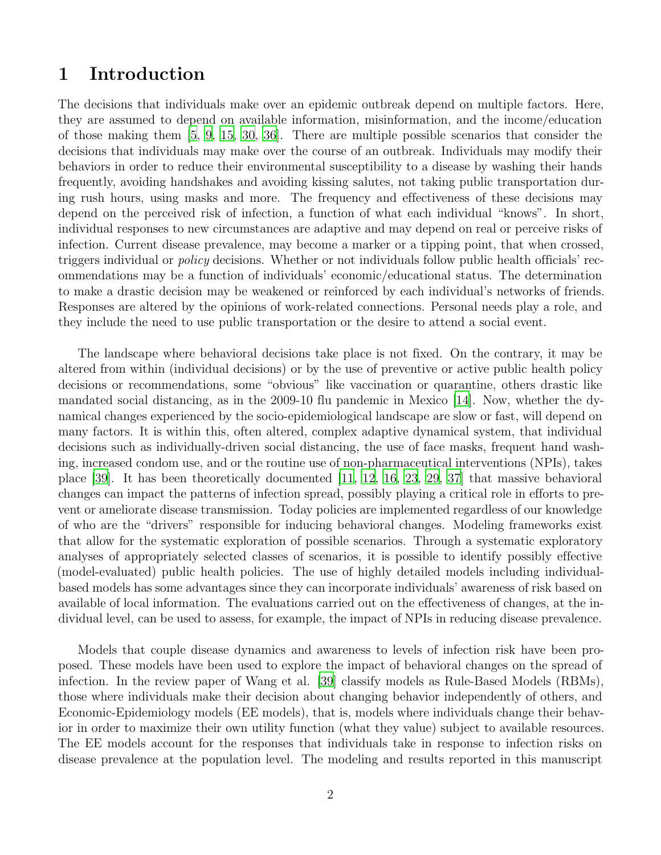## 1 Introduction

The decisions that individuals make over an epidemic outbreak depend on multiple factors. Here, they are assumed to depend on available information, misinformation, and the income/education of those making them [\[5](#page-12-0), [9](#page-12-1), [15](#page-12-2), [30](#page-13-0), [36](#page-14-0)]. There are multiple possible scenarios that consider the decisions that individuals may make over the course of an outbreak. Individuals may modify their behaviors in order to reduce their environmental susceptibility to a disease by washing their hands frequently, avoiding handshakes and avoiding kissing salutes, not taking public transportation during rush hours, using masks and more. The frequency and effectiveness of these decisions may depend on the perceived risk of infection, a function of what each individual "knows". In short, individual responses to new circumstances are adaptive and may depend on real or perceive risks of infection. Current disease prevalence, may become a marker or a tipping point, that when crossed, triggers individual or *policy* decisions. Whether or not individuals follow public health officials' recommendations may be a function of individuals' economic/educational status. The determination to make a drastic decision may be weakened or reinforced by each individual's networks of friends. Responses are altered by the opinions of work-related connections. Personal needs play a role, and they include the need to use public transportation or the desire to attend a social event.

The landscape where behavioral decisions take place is not fixed. On the contrary, it may be altered from within (individual decisions) or by the use of preventive or active public health policy decisions or recommendations, some "obvious" like vaccination or quarantine, others drastic like mandated social distancing, as in the 2009-10 flu pandemic in Mexico [\[14](#page-12-3)]. Now, whether the dynamical changes experienced by the socio-epidemiological landscape are slow or fast, will depend on many factors. It is within this, often altered, complex adaptive dynamical system, that individual decisions such as individually-driven social distancing, the use of face masks, frequent hand washing, increased condom use, and or the routine use of non-pharmaceutical interventions (NPIs), takes place [\[39\]](#page-14-1). It has been theoretically documented [\[11,](#page-12-4) [12,](#page-12-5) [16](#page-12-6), [23](#page-13-1), [29,](#page-13-2) [37\]](#page-14-2) that massive behavioral changes can impact the patterns of infection spread, possibly playing a critical role in efforts to prevent or ameliorate disease transmission. Today policies are implemented regardless of our knowledge of who are the "drivers" responsible for inducing behavioral changes. Modeling frameworks exist that allow for the systematic exploration of possible scenarios. Through a systematic exploratory analyses of appropriately selected classes of scenarios, it is possible to identify possibly effective (model-evaluated) public health policies. The use of highly detailed models including individualbased models has some advantages since they can incorporate individuals' awareness of risk based on available of local information. The evaluations carried out on the effectiveness of changes, at the individual level, can be used to assess, for example, the impact of NPIs in reducing disease prevalence.

Models that couple disease dynamics and awareness to levels of infection risk have been proposed. These models have been used to explore the impact of behavioral changes on the spread of infection. In the review paper of Wang et al. [\[39\]](#page-14-1) classify models as Rule-Based Models (RBMs), those where individuals make their decision about changing behavior independently of others, and Economic-Epidemiology models (EE models), that is, models where individuals change their behavior in order to maximize their own utility function (what they value) subject to available resources. The EE models account for the responses that individuals take in response to infection risks on disease prevalence at the population level. The modeling and results reported in this manuscript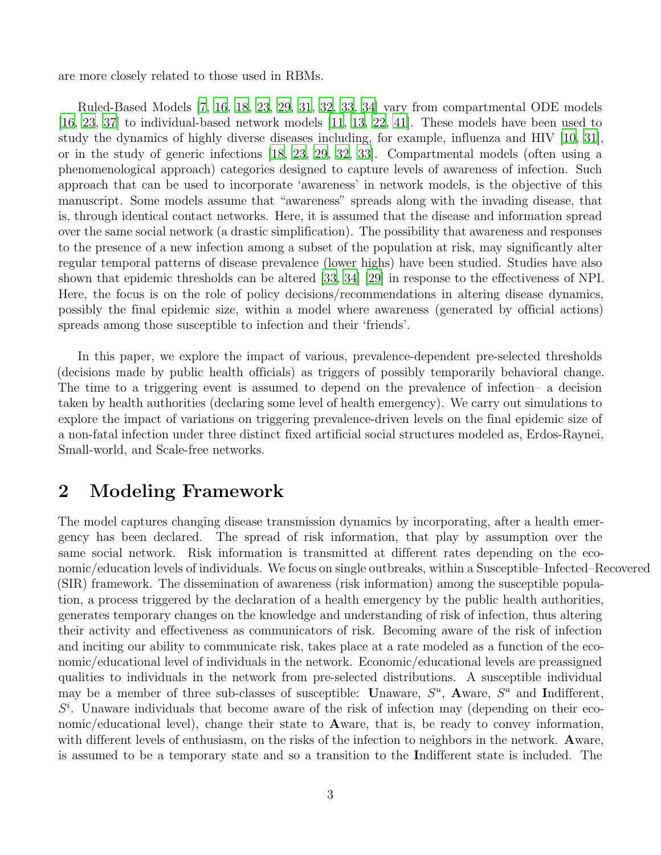are more closely related to those used in RBMs.

Ruled-Based Models [\[7](#page-12-7), [16,](#page-12-6) [18](#page-13-3), [23,](#page-13-1) [29](#page-13-2), [31,](#page-13-4) [32](#page-14-3), [33,](#page-14-4) [34\]](#page-14-5) vary from compartmental ODE models [\[16,](#page-12-6) [23](#page-13-1), [37\]](#page-14-2) to individual-based network models [\[11,](#page-12-4) [13,](#page-12-8) [22](#page-13-5), [41\]](#page-14-6). These models have been used to study the dynamics of highly diverse diseases including, for example, influenza and HIV [\[10,](#page-12-9) [31](#page-13-4)], or in the study of generic infections [\[18](#page-13-3), [23](#page-13-1), [29](#page-13-2), [32,](#page-14-3) [33\]](#page-14-4). Compartmental models (often using a phenomenological approach) categories designed to capture levels of awareness of infection. Such approach that can be used to incorporate 'awareness' in network models, is the objective of this manuscript. Some models assume that "awareness" spreads along with the invading disease, that is, through identical contact networks. Here, it is assumed that the disease and information spread over the same social network (a drastic simplification). The possibility that awareness and responses to the presence of a new infection among a subset of the population at risk, may significantly alter regular temporal patterns of disease prevalence (lower highs) have been studied. Studies have also shown that epidemic thresholds can be altered [\[33,](#page-14-4) [34\]](#page-14-5) [\[29\]](#page-13-2) in response to the effectiveness of NPI. Here, the focus is on the role of policy decisions/recommendations in altering disease dynamics, possibly the final epidemic size, within a model where awareness (generated by official actions) spreads among those susceptible to infection and their 'friends'.

In this paper, we explore the impact of various, prevalence-dependent pre-selected thresholds (decisions made by public health officials) as triggers of possibly temporarily behavioral change. The time to a triggering event is assumed to depend on the prevalence of infection– a decision taken by health authorities (declaring some level of health emergency). We carry out simulations to explore the impact of variations on triggering prevalence-driven levels on the final epidemic size of a non-fatal infection under three distinct fixed artificial social structures modeled as, Erdos-Raynei, Small-world, and Scale-free networks.

# 2 Modeling Framework

The model captures changing disease transmission dynamics by incorporating, after a health emergency has been declared. The spread of risk information, that play by assumption over the same social network. Risk information is transmitted at different rates depending on the economic/education levels of individuals. We focus on single outbreaks, within a Susceptible–Infected–Recovered (SIR) framework. The dissemination of awareness (risk information) among the susceptible population, a process triggered by the declaration of a health emergency by the public health authorities, generates temporary changes on the knowledge and understanding of risk of infection, thus altering their activity and effectiveness as communicators of risk. Becoming aware of the risk of infection and inciting our ability to communicate risk, takes place at a rate modeled as a function of the economic/educational level of individuals in the network. Economic/educational levels are preassigned qualities to individuals in the network from pre-selected distributions. A susceptible individual may be a member of three sub-classes of susceptible: Unaware,  $S^u$ , Aware,  $S^a$  and Indifferent,  $S<sup>i</sup>$ . Unaware individuals that become aware of the risk of infection may (depending on their economic/educational level), change their state to Aware, that is, be ready to convey information, with different levels of enthusiasm, on the risks of the infection to neighbors in the network. Aware, is assumed to be a temporary state and so a transition to the Indifferent state is included. The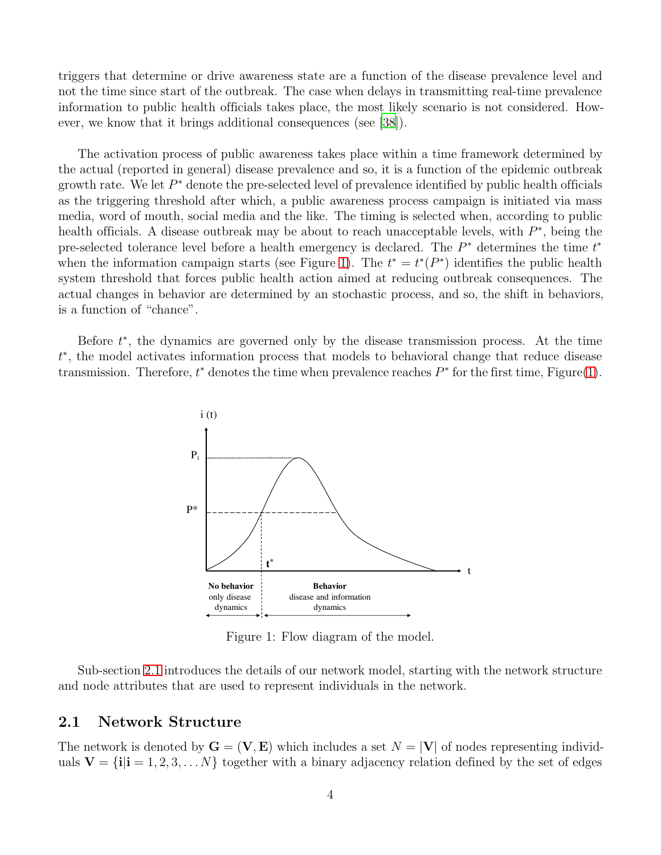triggers that determine or drive awareness state are a function of the disease prevalence level and not the time since start of the outbreak. The case when delays in transmitting real-time prevalence information to public health officials takes place, the most likely scenario is not considered. However, we know that it brings additional consequences (see [\[38](#page-14-7)]).

The activation process of public awareness takes place within a time framework determined by the actual (reported in general) disease prevalence and so, it is a function of the epidemic outbreak growth rate. We let  $P^*$  denote the pre-selected level of prevalence identified by public health officials as the triggering threshold after which, a public awareness process campaign is initiated via mass media, word of mouth, social media and the like. The timing is selected when, according to public health officials. A disease outbreak may be about to reach unacceptable levels, with  $P^*$ , being the pre-selected tolerance level before a health emergency is declared. The  $P^*$  determines the time  $t^*$ when the information campaign starts (see Figure [1\)](#page-3-0). The  $t^* = t^*(P^*)$  identifies the public health system threshold that forces public health action aimed at reducing outbreak consequences. The actual changes in behavior are determined by an stochastic process, and so, the shift in behaviors, is a function of "chance".

<span id="page-3-0"></span>Before  $t^*$ , the dynamics are governed only by the disease transmission process. At the time t ∗ , the model activates information process that models to behavioral change that reduce disease transmission. Therefore,  $t^*$  denotes the time when prevalence reaches  $P^*$  for the first time, Figure[\(1\)](#page-3-0).



Figure 1: Flow diagram of the model.

Sub-section [2.1](#page-3-1) introduces the details of our network model, starting with the network structure and node attributes that are used to represent individuals in the network.

#### <span id="page-3-1"></span>2.1 Network Structure

The network is denoted by  $\mathbf{G} = (\mathbf{V}, \mathbf{E})$  which includes a set  $N = |\mathbf{V}|$  of nodes representing individuals  $V = \{i | i = 1, 2, 3, \ldots N\}$  together with a binary adjacency relation defined by the set of edges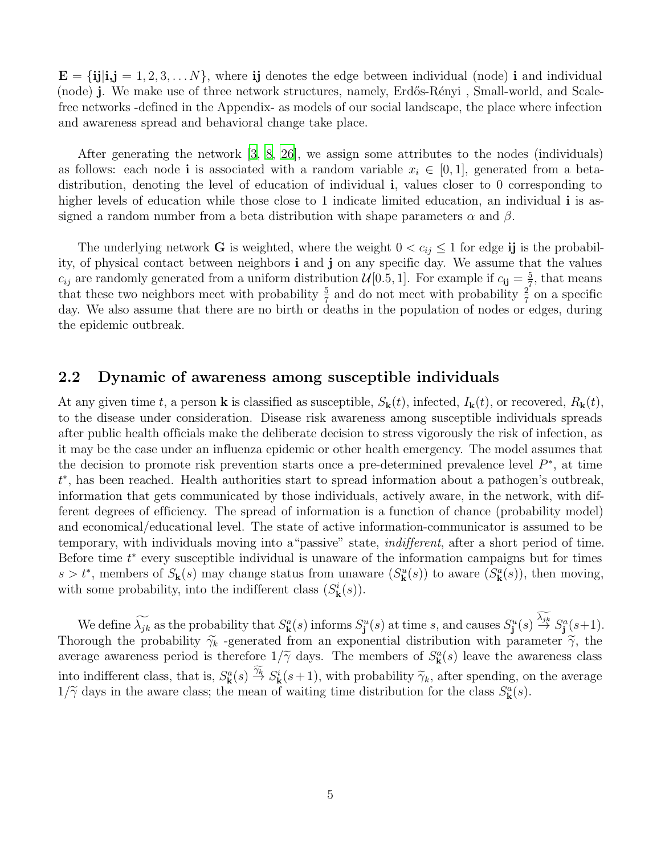$\mathbf{E} = {\textbf{i}} \mathbf{j} | \mathbf{i}, \mathbf{j} = 1, 2, 3, \dots N$ , where ij denotes the edge between individual (node) i and individual (node) j. We make use of three network structures, namely, Erdős-Rényi, Small-world, and Scalefree networks -defined in the Appendix- as models of our social landscape, the place where infection and awareness spread and behavioral change take place.

After generating the network [\[3](#page-11-0), [8](#page-12-10), [26](#page-13-6)], we assign some attributes to the nodes (individuals) as follows: each node i is associated with a random variable  $x_i \in [0,1]$ , generated from a betadistribution, denoting the level of education of individual i, values closer to 0 corresponding to higher levels of education while those close to 1 indicate limited education, an individual **i** is assigned a random number from a beta distribution with shape parameters  $\alpha$  and  $\beta$ .

The underlying network **G** is weighted, where the weight  $0 < c_{ij} \leq 1$  for edge ij is the probability, of physical contact between neighbors i and j on any specific day. We assume that the values  $c_{ij}$  are randomly generated from a uniform distribution  $\mathcal{U}[0.5, 1]$ . For example if  $c_{ij} = \frac{5}{7}$  $\frac{5}{7}$ , that means that these two neighbors meet with probability  $\frac{5}{7}$  and do not meet with probability  $\frac{2}{7}$  on a specific day. We also assume that there are no birth or deaths in the population of nodes or edges, during the epidemic outbreak.

### 2.2 Dynamic of awareness among susceptible individuals

At any given time t, a person **k** is classified as susceptible,  $S_{\bf k}(t)$ , infected,  $I_{\bf k}(t)$ , or recovered,  $R_{\bf k}(t)$ , to the disease under consideration. Disease risk awareness among susceptible individuals spreads after public health officials make the deliberate decision to stress vigorously the risk of infection, as it may be the case under an influenza epidemic or other health emergency. The model assumes that the decision to promote risk prevention starts once a pre-determined prevalence level  $P^*$ , at time t ∗ , has been reached. Health authorities start to spread information about a pathogen's outbreak, information that gets communicated by those individuals, actively aware, in the network, with different degrees of efficiency. The spread of information is a function of chance (probability model) and economical/educational level. The state of active information-communicator is assumed to be temporary, with individuals moving into a"passive" state, *indifferent*, after a short period of time. Before time  $t^*$  every susceptible individual is unaware of the information campaigns but for times  $s > t^*$ , members of  $S_{\bf k}(s)$  may change status from unaware  $(S_{\bf k}^u(s))$  to aware  $(S_{\bf k}^a(s))$ , then moving, with some probability, into the indifferent class  $(S_{\mathbf{k}}^{i}(s))$ .

We define  $\widetilde{\lambda_{jk}}$  as the probability that  $S^a_{\mathbf{k}}(s)$  informs  $S^u_{\mathbf{j}}(s)$  at time s, and causes  $S^u_{\mathbf{j}}(s) \stackrel{\lambda_{jk}}{\rightarrow} S^a_{\mathbf{j}}(s+1)$ . Thorough the probability  $\widetilde{\gamma}_k$  -generated from an exponential distribution with parameter  $\widetilde{\gamma}$ , the average awareness period is therefore  $1/\tilde{\gamma}$  days. The members of  $S_{\mathbf{k}}^a(s)$  leave the awareness class into indifferent class, that is,  $S^a_{\mathbf{k}}(s) \stackrel{\widetilde{\gamma}_{k}}{\rightarrow} S^i_{\mathbf{k}}(s+1)$ , with probability  $\widetilde{\gamma}_{k}$ , after spending, on the average  $1/\tilde{\gamma}$  days in the aware class; the mean of waiting time distribution for the class  $S_{\mathbf{k}}^{a}(s)$ .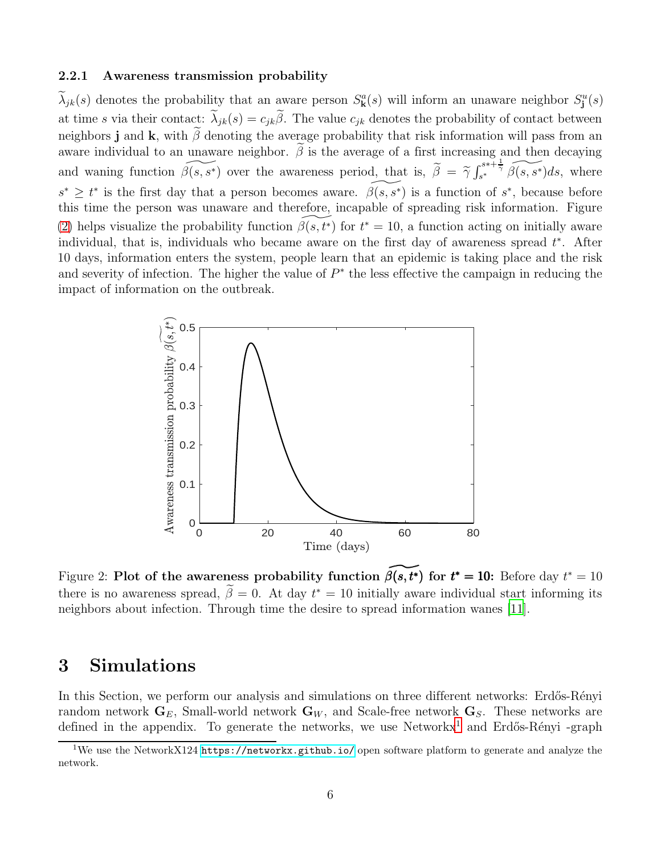#### 2.2.1 Awareness transmission probability

 $\lambda_{jk}(s)$  denotes the probability that an aware person  $S_{\mathbf{k}}^{a}(s)$  will inform an unaware neighbor  $S_{\mathbf{j}}^{u}(s)$ at time s via their contact:  $\tilde{\lambda}_{jk}(s) = c_{jk}\tilde{\beta}$ . The value  $c_{jk}$  denotes the probability of contact between neighbors j and k, with  $\beta$  denoting the average probability that risk information will pass from an aware individual to an unaware neighbor.  $\beta$  is the average of a first increasing and then decaying and waning function  $\widetilde{\beta(s,s^*)}$  over the awareness period, that is,  $\widetilde{\beta} = \widetilde{\gamma} \int_{s^*}^{s^*+\frac{1}{\widetilde{\gamma}}}$  $s^{s+\frac{1}{\gamma}}\widetilde{\beta(s,s^*)}ds$ , where  $s^* \geq t^*$  is the first day that a person becomes aware.  $\widetilde{\beta(s,s^*)}$  is a function of  $s^*$ , because before this time the person was unaware and therefore, incapable of spreading risk information. Figure [\(2\)](#page-5-0) helps visualize the probability function  $\widetilde{\beta(s,t^*)}$  for  $t^* = 10$ , a function acting on initially aware individual, that is, individuals who became aware on the first day of awareness spread  $t^*$ . After 10 days, information enters the system, people learn that an epidemic is taking place and the risk and severity of infection. The higher the value of  $P^*$  the less effective the campaign in reducing the impact of information on the outbreak.

<span id="page-5-0"></span>

Figure 2: Plot of the awareness probability function  $\widetilde{\beta(s, t^*)}$  for  $t^* = 10$ : Before day  $t^* = 10$ there is no awareness spread,  $\tilde{\beta} = 0$ . At day  $t^* = 10$  initially aware individual start informing its neighbors about infection. Through time the desire to spread information wanes [\[11\]](#page-12-4).

# 3 Simulations

In this Section, we perform our analysis and simulations on three different networks: Erdős-Rényi random network  $G_E$ , Small-world network  $G_W$ , and Scale-free network  $G_S$ . These networks are defined in the appendix. To generate the networks, we use Networkx<sup>[1](#page-5-1)</sup> and Erdős-Rényi -graph

<span id="page-5-1"></span><sup>&</sup>lt;sup>1</sup>We use the NetworkX124 <https://networkx.github.io/> open software platform to generate and analyze the network.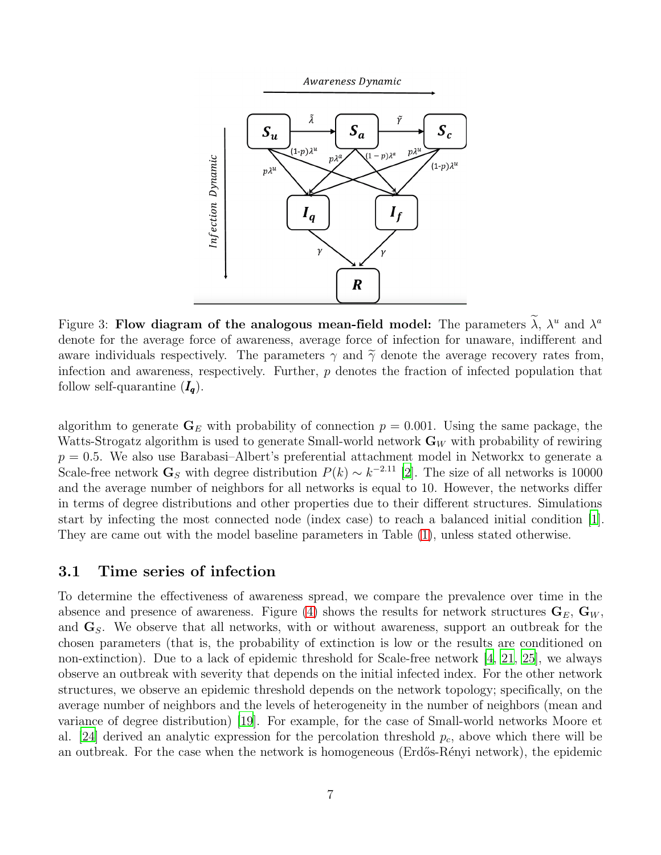



Figure 3: Flow diagram of the analogous mean-field model: The parameters  $\lambda$ ,  $\lambda^u$  and  $\lambda^a$ denote for the average force of awareness, average force of infection for unaware, indifferent and aware individuals respectively. The parameters  $\gamma$  and  $\tilde{\gamma}$  denote the average recovery rates from, infection and awareness, respectively. Further,  $p$  denotes the fraction of infected population that follow self-quarantine  $(I_q)$ .

algorithm to generate  $G_E$  with probability of connection  $p = 0.001$ . Using the same package, the Watts-Strogatz algorithm is used to generate Small-world network  $\mathbf{G}_W$  with probability of rewiring  $p = 0.5$ . We also use Barabasi–Albert's preferential attachment model in Networkx to generate a Scale-free network  $\mathbf{G}_S$  with degree distribution  $P(k) \sim k^{-2.11}$  [\[2\]](#page-11-1). The size of all networks is 10000 and the average number of neighbors for all networks is equal to 10. However, the networks differ in terms of degree distributions and other properties due to their different structures. Simulations start by infecting the most connected node (index case) to reach a balanced initial condition [\[1\]](#page-11-2). They are came out with the model baseline parameters in Table [\(1\)](#page-7-0), unless stated otherwise.

#### 3.1 Time series of infection

To determine the effectiveness of awareness spread, we compare the prevalence over time in the absence and presence of awareness. Figure [\(4\)](#page-8-0) shows the results for network structures  $G_E, G_W$ , and  $\mathbf{G}_S$ . We observe that all networks, with or without awareness, support an outbreak for the chosen parameters (that is, the probability of extinction is low or the results are conditioned on non-extinction). Due to a lack of epidemic threshold for Scale-free network [\[4](#page-12-11), [21,](#page-13-7) [25\]](#page-13-8), we always observe an outbreak with severity that depends on the initial infected index. For the other network structures, we observe an epidemic threshold depends on the network topology; specifically, on the average number of neighbors and the levels of heterogeneity in the number of neighbors (mean and variance of degree distribution) [\[19\]](#page-13-9). For example, for the case of Small-world networks Moore et al. [\[24\]](#page-13-10) derived an analytic expression for the percolation threshold  $p_c$ , above which there will be an outbreak. For the case when the network is homogeneous (Erdős-Rényi network), the epidemic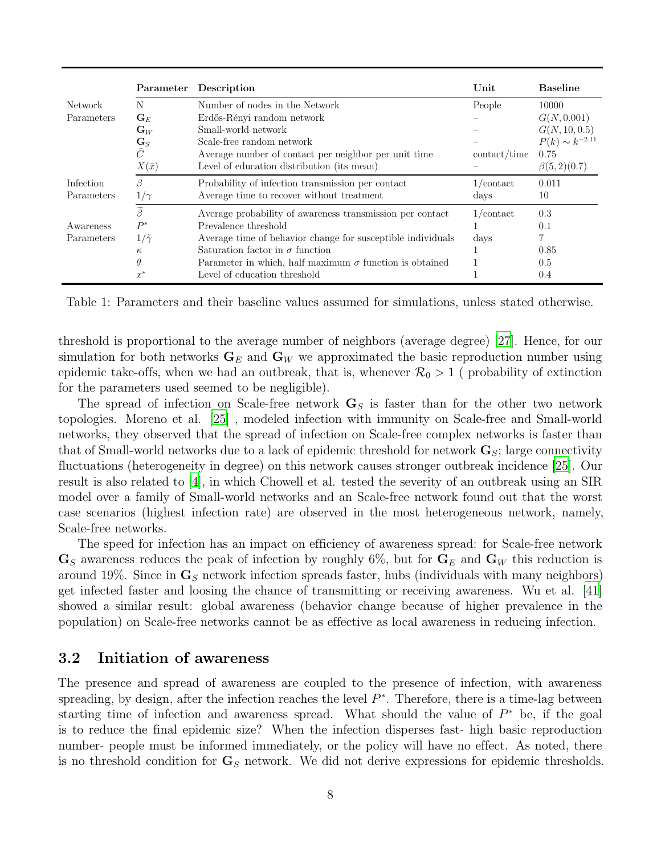<span id="page-7-0"></span>

|                | Parameter           | Description                                                    | Unit         | <b>Baseline</b>       |
|----------------|---------------------|----------------------------------------------------------------|--------------|-----------------------|
| <b>Network</b> | N                   | Number of nodes in the Network                                 | People       | 10000                 |
| Parameters     | $\mathbf{G}_E$      | Erdős-Rényi random network                                     |              | G(N, 0.001)           |
|                | $\mathbf{G}_W$      | Small-world network                                            |              | G(N, 10, 0.5)         |
|                | $\mathbf{G}_S$      | Scale-free random network                                      |              | $P(k) \sim k^{-2.11}$ |
|                | $\bar{C}$           | Average number of contact per neighbor per unit time           | contact/time | 0.75                  |
|                | $X(\bar{x})$        | Level of education distribution (its mean)                     |              | $\beta(5,2)(0.7)$     |
| Infection      | ß                   | Probability of infection transmission per contact              | $1$ /contact | 0.011                 |
| Parameters     | $1/\gamma$          | Average time to recover without treatment                      | days         | 10                    |
|                | $\widetilde{\beta}$ | Average probability of awareness transmission per contact      | $1$ /contact | 0.3                   |
| Awareness      | $P^*$               | Prevalence threshold                                           |              | 0.1                   |
| Parameters     | $1/\tilde{\gamma}$  | Average time of behavior change for susceptible individuals    | days         | 7                     |
|                | $\kappa$            | Saturation factor in $\sigma$ function                         |              | 0.85                  |
|                | $\theta$            | Parameter in which, half maximum $\sigma$ function is obtained |              | 0.5                   |
|                | $x^*$               | Level of education threshold                                   |              | 0.4                   |

Table 1: Parameters and their baseline values assumed for simulations, unless stated otherwise.

threshold is proportional to the average number of neighbors (average degree) [\[27](#page-13-11)]. Hence, for our simulation for both networks  $G_E$  and  $G_W$  we approximated the basic reproduction number using epidemic take-offs, when we had an outbreak, that is, whenever  $\mathcal{R}_0 > 1$  (probability of extinction for the parameters used seemed to be negligible).

The spread of infection on Scale-free network  $\mathbf{G}_S$  is faster than for the other two network topologies. Moreno et al. [\[25](#page-13-8)] , modeled infection with immunity on Scale-free and Small-world networks, they observed that the spread of infection on Scale-free complex networks is faster than that of Small-world networks due to a lack of epidemic threshold for network  $\mathbf{G}_S$ ; large connectivity fluctuations (heterogeneity in degree) on this network causes stronger outbreak incidence [\[25](#page-13-8)]. Our result is also related to [\[4\]](#page-12-11), in which Chowell et al. tested the severity of an outbreak using an SIR model over a family of Small-world networks and an Scale-free network found out that the worst case scenarios (highest infection rate) are observed in the most heterogeneous network, namely, Scale-free networks.

The speed for infection has an impact on efficiency of awareness spread: for Scale-free network  $\mathbf{G}_S$  awareness reduces the peak of infection by roughly 6%, but for  $\mathbf{G}_E$  and  $\mathbf{G}_W$  this reduction is around 19%. Since in  $\mathbf{G}_S$  network infection spreads faster, hubs (individuals with many neighbors) get infected faster and loosing the chance of transmitting or receiving awareness. Wu et al. [\[41\]](#page-14-6) showed a similar result: global awareness (behavior change because of higher prevalence in the population) on Scale-free networks cannot be as effective as local awareness in reducing infection.

### 3.2 Initiation of awareness

The presence and spread of awareness are coupled to the presence of infection, with awareness spreading, by design, after the infection reaches the level  $P^*$ . Therefore, there is a time-lag between starting time of infection and awareness spread. What should the value of  $P^*$  be, if the goal is to reduce the final epidemic size? When the infection disperses fast- high basic reproduction number- people must be informed immediately, or the policy will have no effect. As noted, there is no threshold condition for  $\mathbf{G}_{S}$  network. We did not derive expressions for epidemic thresholds.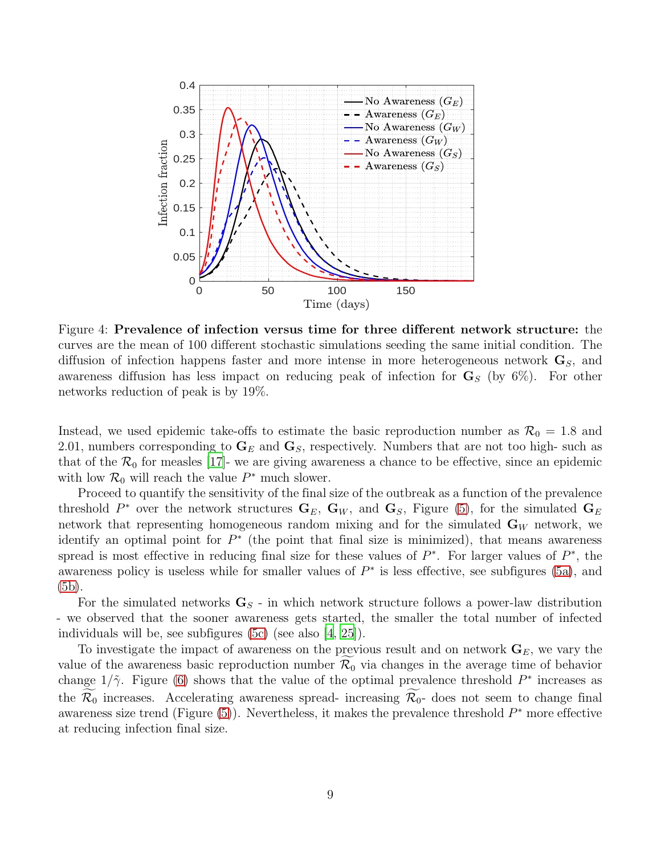<span id="page-8-0"></span>

Figure 4: Prevalence of infection versus time for three different network structure: the curves are the mean of 100 different stochastic simulations seeding the same initial condition. The diffusion of infection happens faster and more intense in more heterogeneous network  $\mathbf{G}_S$ , and awareness diffusion has less impact on reducing peak of infection for  $G<sub>S</sub>$  (by 6%). For other networks reduction of peak is by 19%.

Instead, we used epidemic take-offs to estimate the basic reproduction number as  $\mathcal{R}_0 = 1.8$  and 2.01, numbers corresponding to  $\mathbf{G}_E$  and  $\mathbf{G}_S$ , respectively. Numbers that are not too high- such as that of the  $\mathcal{R}_0$  for measles [\[17](#page-13-12)]- we are giving awareness a chance to be effective, since an epidemic with low  $\mathcal{R}_0$  will reach the value  $P^*$  much slower.

Proceed to quantify the sensitivity of the final size of the outbreak as a function of the prevalence threshold  $P^*$  over the network structures  $\mathbf{G}_E$ ,  $\mathbf{G}_W$ , and  $\mathbf{G}_S$ , Figure [\(5\)](#page-9-0), for the simulated  $\mathbf{G}_E$ network that representing homogeneous random mixing and for the simulated  $\mathbf{G}_W$  network, we identify an optimal point for  $P^*$  (the point that final size is minimized), that means awareness spread is most effective in reducing final size for these values of  $P^*$ . For larger values of  $P^*$ , the awareness policy is useless while for smaller values of  $P^*$  is less effective, see subfigures [\(5a\)](#page-9-0), and [\(5b\)](#page-9-0).

For the simulated networks  $\mathbf{G}_S$  - in which network structure follows a power-law distribution - we observed that the sooner awareness gets started, the smaller the total number of infected individuals will be, see subfigures [\(5c\)](#page-9-0) (see also [\[4](#page-12-11), [25\]](#page-13-8)).

To investigate the impact of awareness on the previous result and on network  $\mathbf{G}_E$ , we vary the value of the awareness basic reproduction number  $\mathcal{R}_0$  via changes in the average time of behavior change  $1/\tilde{\gamma}$ . Figure [\(6\)](#page-10-0) shows that the value of the optimal prevalence threshold  $P^*$  increases as the  $\mathcal{R}_0$  increases. Accelerating awareness spread- increasing  $\widetilde{\mathcal{R}}_0$ - does not seem to change final awareness size trend (Figure  $(5)$ ). Nevertheless, it makes the prevalence threshold  $P^*$  more effective at reducing infection final size.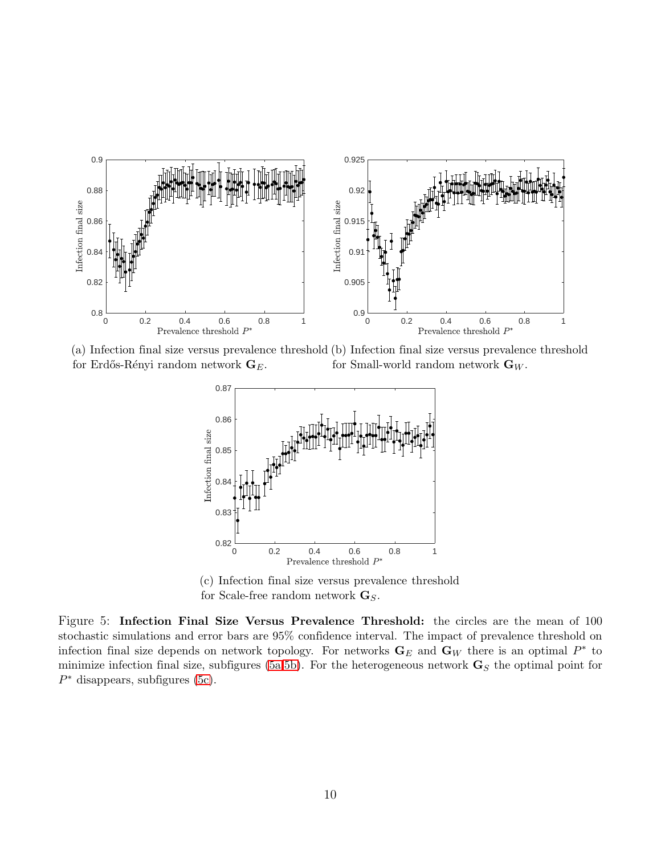<span id="page-9-0"></span>

(a) Infection final size versus prevalence threshold (b) Infection final size versus prevalence threshold for Erdős-Rényi random network  $\mathbf{G}_E$ . for Small-world random network  $\mathbf{G}_W$ .



(c) Infection final size versus prevalence threshold for Scale-free random network  $\mathbf{G}_S$ .

Figure 5: Infection Final Size Versus Prevalence Threshold: the circles are the mean of 100 stochastic simulations and error bars are 95% confidence interval. The impact of prevalence threshold on infection final size depends on network topology. For networks  $\mathbf{G}_E$  and  $\mathbf{G}_W$  there is an optimal  $P^*$  to minimize infection final size, subfigures [\(5a,5b\)](#page-9-0). For the heterogeneous network  $\mathbf{G}_{S}$  the optimal point for  $P^*$  disappears, subfigures [\(5c\)](#page-9-0).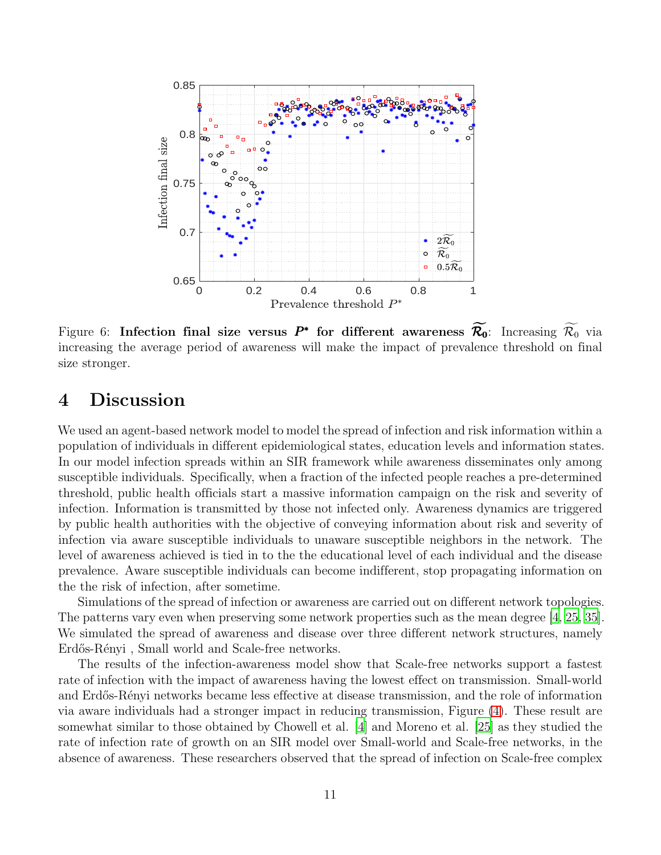<span id="page-10-0"></span>

Figure 6: Infection final size versus  $P^*$  for different awareness  $\widetilde{\mathcal{R}_0}$ : Increasing  $\widetilde{\mathcal{R}_0}$  via increasing the average period of awareness will make the impact of prevalence threshold on final size stronger.

# 4 Discussion

We used an agent-based network model to model the spread of infection and risk information within a population of individuals in different epidemiological states, education levels and information states. In our model infection spreads within an SIR framework while awareness disseminates only among susceptible individuals. Specifically, when a fraction of the infected people reaches a pre-determined threshold, public health officials start a massive information campaign on the risk and severity of infection. Information is transmitted by those not infected only. Awareness dynamics are triggered by public health authorities with the objective of conveying information about risk and severity of infection via aware susceptible individuals to unaware susceptible neighbors in the network. The level of awareness achieved is tied in to the the educational level of each individual and the disease prevalence. Aware susceptible individuals can become indifferent, stop propagating information on the the risk of infection, after sometime.

Simulations of the spread of infection or awareness are carried out on different network topologies. The patterns vary even when preserving some network properties such as the mean degree [\[4,](#page-12-11) [25,](#page-13-8) [35\]](#page-14-8). We simulated the spread of awareness and disease over three different network structures, namely Erdős-Rényi, Small world and Scale-free networks.

The results of the infection-awareness model show that Scale-free networks support a fastest rate of infection with the impact of awareness having the lowest effect on transmission. Small-world and Erdős-Rényi networks became less effective at disease transmission, and the role of information via aware individuals had a stronger impact in reducing transmission, Figure [\(4\)](#page-8-0). These result are somewhat similar to those obtained by Chowell et al. [\[4\]](#page-12-11) and Moreno et al. [\[25\]](#page-13-8) as they studied the rate of infection rate of growth on an SIR model over Small-world and Scale-free networks, in the absence of awareness. These researchers observed that the spread of infection on Scale-free complex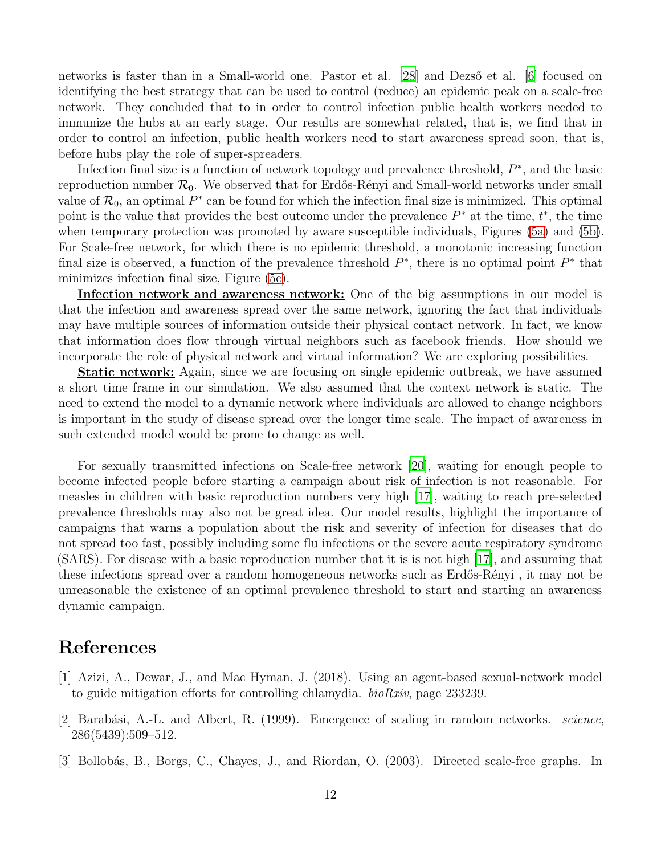networks is faster than in a Small-world one. Pastor et al. [\[28\]](#page-13-13) and Dezs<sup>"</sup> et al. [\[6](#page-12-12)] focused on identifying the best strategy that can be used to control (reduce) an epidemic peak on a scale-free network. They concluded that to in order to control infection public health workers needed to immunize the hubs at an early stage. Our results are somewhat related, that is, we find that in order to control an infection, public health workers need to start awareness spread soon, that is, before hubs play the role of super-spreaders.

Infection final size is a function of network topology and prevalence threshold,  $P^*$ , and the basic reproduction number  $\mathcal{R}_0$ . We observed that for Erdős-Rényi and Small-world networks under small value of  $\mathcal{R}_0$ , an optimal  $P^*$  can be found for which the infection final size is minimized. This optimal point is the value that provides the best outcome under the prevalence  $P^*$  at the time,  $t^*$ , the time when temporary protection was promoted by aware susceptible individuals, Figures [\(5a\)](#page-9-0) and [\(5b\)](#page-9-0). For Scale-free network, for which there is no epidemic threshold, a monotonic increasing function final size is observed, a function of the prevalence threshold  $P^*$ , there is no optimal point  $P^*$  that minimizes infection final size, Figure [\(5c\)](#page-9-0).

Infection network and awareness network: One of the big assumptions in our model is that the infection and awareness spread over the same network, ignoring the fact that individuals may have multiple sources of information outside their physical contact network. In fact, we know that information does flow through virtual neighbors such as facebook friends. How should we incorporate the role of physical network and virtual information? We are exploring possibilities.

Static network: Again, since we are focusing on single epidemic outbreak, we have assumed a short time frame in our simulation. We also assumed that the context network is static. The need to extend the model to a dynamic network where individuals are allowed to change neighbors is important in the study of disease spread over the longer time scale. The impact of awareness in such extended model would be prone to change as well.

For sexually transmitted infections on Scale-free network [\[20\]](#page-13-14), waiting for enough people to become infected people before starting a campaign about risk of infection is not reasonable. For measles in children with basic reproduction numbers very high [\[17\]](#page-13-12), waiting to reach pre-selected prevalence thresholds may also not be great idea. Our model results, highlight the importance of campaigns that warns a population about the risk and severity of infection for diseases that do not spread too fast, possibly including some flu infections or the severe acute respiratory syndrome (SARS). For disease with a basic reproduction number that it is is not high [\[17\]](#page-13-12), and assuming that these infections spread over a random homogeneous networks such as Erdős-Rényi, it may not be unreasonable the existence of an optimal prevalence threshold to start and starting an awareness dynamic campaign.

# References

- <span id="page-11-2"></span>[1] Azizi, A., Dewar, J., and Mac Hyman, J. (2018). Using an agent-based sexual-network model to guide mitigation efforts for controlling chlamydia. *bioRxiv*, page 233239.
- <span id="page-11-1"></span>[2] Barab´asi, A.-L. and Albert, R. (1999). Emergence of scaling in random networks. *science*, 286(5439):509–512.
- <span id="page-11-0"></span>[3] Bollobás, B., Borgs, C., Chayes, J., and Riordan, O. (2003). Directed scale-free graphs. In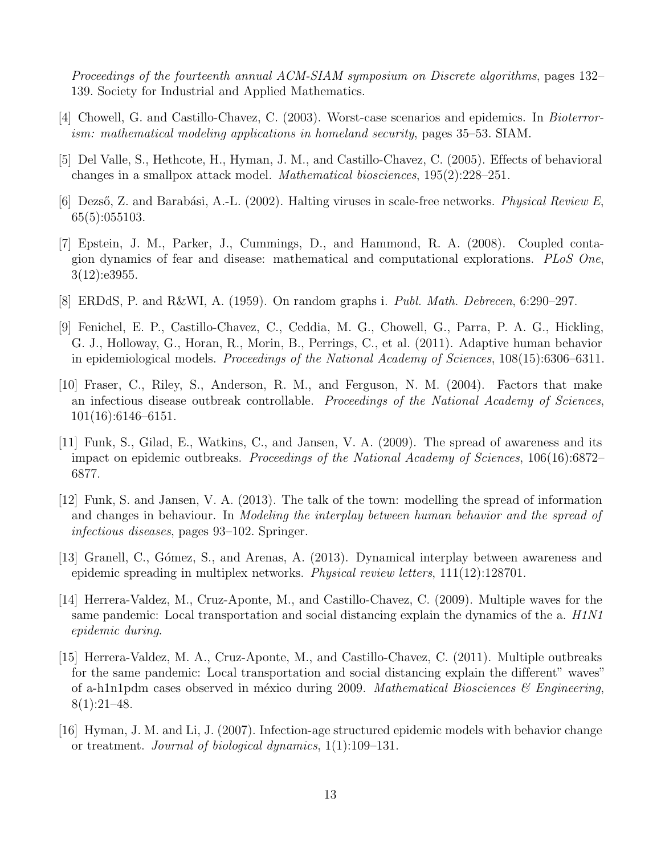*Proceedings of the fourteenth annual ACM-SIAM symposium on Discrete algorithms*, pages 132– 139. Society for Industrial and Applied Mathematics.

- <span id="page-12-11"></span>[4] Chowell, G. and Castillo-Chavez, C. (2003). Worst-case scenarios and epidemics. In *Bioterrorism: mathematical modeling applications in homeland security*, pages 35–53. SIAM.
- <span id="page-12-0"></span>[5] Del Valle, S., Hethcote, H., Hyman, J. M., and Castillo-Chavez, C. (2005). Effects of behavioral changes in a smallpox attack model. *Mathematical biosciences*, 195(2):228–251.
- <span id="page-12-12"></span>[6] Dezs˝o, Z. and Barab´asi, A.-L. (2002). Halting viruses in scale-free networks. *Physical Review E*, 65(5):055103.
- <span id="page-12-7"></span>[7] Epstein, J. M., Parker, J., Cummings, D., and Hammond, R. A. (2008). Coupled contagion dynamics of fear and disease: mathematical and computational explorations. *PLoS One*, 3(12):e3955.
- <span id="page-12-10"></span>[8] ERDdS, P. and R&WI, A. (1959). On random graphs i. *Publ. Math. Debrecen*, 6:290–297.
- <span id="page-12-1"></span>[9] Fenichel, E. P., Castillo-Chavez, C., Ceddia, M. G., Chowell, G., Parra, P. A. G., Hickling, G. J., Holloway, G., Horan, R., Morin, B., Perrings, C., et al. (2011). Adaptive human behavior in epidemiological models. *Proceedings of the National Academy of Sciences*, 108(15):6306–6311.
- <span id="page-12-9"></span>[10] Fraser, C., Riley, S., Anderson, R. M., and Ferguson, N. M. (2004). Factors that make an infectious disease outbreak controllable. *Proceedings of the National Academy of Sciences*, 101(16):6146–6151.
- <span id="page-12-4"></span>[11] Funk, S., Gilad, E., Watkins, C., and Jansen, V. A. (2009). The spread of awareness and its impact on epidemic outbreaks. *Proceedings of the National Academy of Sciences*, 106(16):6872– 6877.
- <span id="page-12-5"></span>[12] Funk, S. and Jansen, V. A. (2013). The talk of the town: modelling the spread of information and changes in behaviour. In *Modeling the interplay between human behavior and the spread of infectious diseases*, pages 93–102. Springer.
- <span id="page-12-8"></span>[13] Granell, C., Gómez, S., and Arenas, A. (2013). Dynamical interplay between awareness and epidemic spreading in multiplex networks. *Physical review letters*, 111(12):128701.
- <span id="page-12-3"></span>[14] Herrera-Valdez, M., Cruz-Aponte, M., and Castillo-Chavez, C. (2009). Multiple waves for the same pandemic: Local transportation and social distancing explain the dynamics of the a. *H1N1 epidemic during*.
- <span id="page-12-2"></span>[15] Herrera-Valdez, M. A., Cruz-Aponte, M., and Castillo-Chavez, C. (2011). Multiple outbreaks for the same pandemic: Local transportation and social distancing explain the different" waves" of a-h1n1pdm cases observed in méxico during 2009. *Mathematical Biosciences*  $\&$  *Engineering*,  $8(1):21-48.$
- <span id="page-12-6"></span>[16] Hyman, J. M. and Li, J. (2007). Infection-age structured epidemic models with behavior change or treatment. *Journal of biological dynamics*, 1(1):109–131.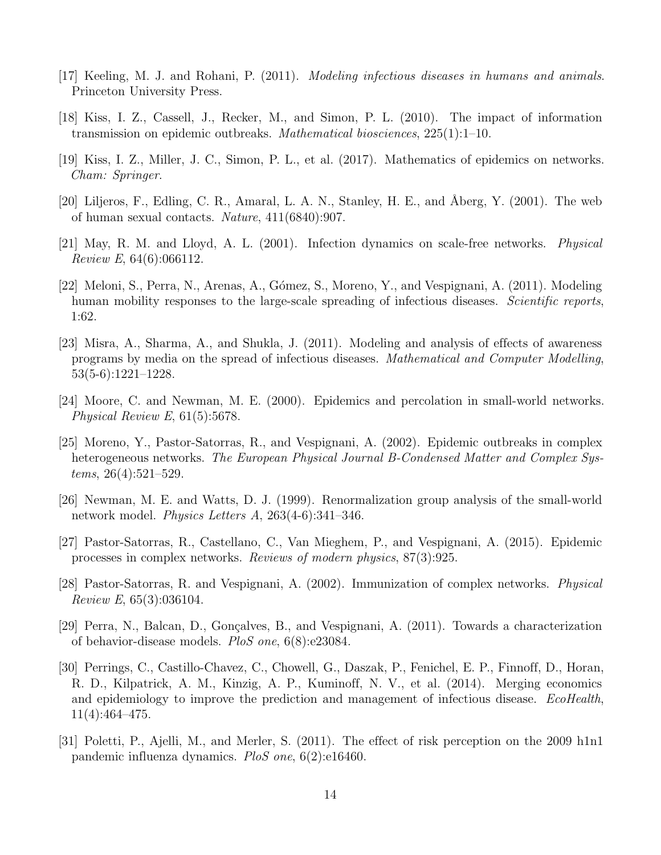- <span id="page-13-12"></span>[17] Keeling, M. J. and Rohani, P. (2011). *Modeling infectious diseases in humans and animals*. Princeton University Press.
- <span id="page-13-3"></span>[18] Kiss, I. Z., Cassell, J., Recker, M., and Simon, P. L. (2010). The impact of information transmission on epidemic outbreaks. *Mathematical biosciences*, 225(1):1–10.
- <span id="page-13-9"></span>[19] Kiss, I. Z., Miller, J. C., Simon, P. L., et al. (2017). Mathematics of epidemics on networks. *Cham: Springer*.
- <span id="page-13-14"></span>[20] Liljeros, F., Edling, C. R., Amaral, L. A. N., Stanley, H. E., and Åberg, Y. (2001). The web of human sexual contacts. *Nature*, 411(6840):907.
- <span id="page-13-7"></span>[21] May, R. M. and Lloyd, A. L. (2001). Infection dynamics on scale-free networks. *Physical Review E*, 64(6):066112.
- <span id="page-13-5"></span>[22] Meloni, S., Perra, N., Arenas, A., Gómez, S., Moreno, Y., and Vespignani, A. (2011). Modeling human mobility responses to the large-scale spreading of infectious diseases. *Scientific reports*, 1:62.
- <span id="page-13-1"></span>[23] Misra, A., Sharma, A., and Shukla, J. (2011). Modeling and analysis of effects of awareness programs by media on the spread of infectious diseases. *Mathematical and Computer Modelling*, 53(5-6):1221–1228.
- <span id="page-13-10"></span>[24] Moore, C. and Newman, M. E. (2000). Epidemics and percolation in small-world networks. *Physical Review E*, 61(5):5678.
- <span id="page-13-8"></span>[25] Moreno, Y., Pastor-Satorras, R., and Vespignani, A. (2002). Epidemic outbreaks in complex heterogeneous networks. *The European Physical Journal B-Condensed Matter and Complex Systems*, 26(4):521–529.
- <span id="page-13-6"></span>[26] Newman, M. E. and Watts, D. J. (1999). Renormalization group analysis of the small-world network model. *Physics Letters A*, 263(4-6):341–346.
- <span id="page-13-11"></span>[27] Pastor-Satorras, R., Castellano, C., Van Mieghem, P., and Vespignani, A. (2015). Epidemic processes in complex networks. *Reviews of modern physics*, 87(3):925.
- <span id="page-13-13"></span>[28] Pastor-Satorras, R. and Vespignani, A. (2002). Immunization of complex networks. *Physical Review E*, 65(3):036104.
- <span id="page-13-2"></span>[29] Perra, N., Balcan, D., Gonçalves, B., and Vespignani, A. (2011). Towards a characterization of behavior-disease models. *PloS one*, 6(8):e23084.
- <span id="page-13-0"></span>[30] Perrings, C., Castillo-Chavez, C., Chowell, G., Daszak, P., Fenichel, E. P., Finnoff, D., Horan, R. D., Kilpatrick, A. M., Kinzig, A. P., Kuminoff, N. V., et al. (2014). Merging economics and epidemiology to improve the prediction and management of infectious disease. *EcoHealth*, 11(4):464–475.
- <span id="page-13-4"></span>[31] Poletti, P., Ajelli, M., and Merler, S. (2011). The effect of risk perception on the 2009 h1n1 pandemic influenza dynamics. *PloS one*, 6(2):e16460.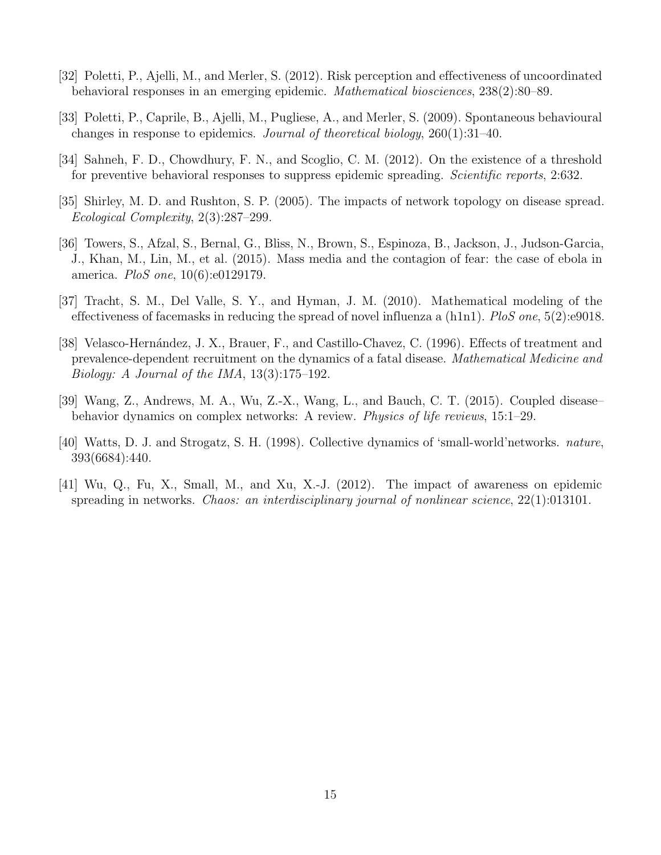- <span id="page-14-3"></span>[32] Poletti, P., Ajelli, M., and Merler, S. (2012). Risk perception and effectiveness of uncoordinated behavioral responses in an emerging epidemic. *Mathematical biosciences*, 238(2):80–89.
- <span id="page-14-4"></span>[33] Poletti, P., Caprile, B., Ajelli, M., Pugliese, A., and Merler, S. (2009). Spontaneous behavioural changes in response to epidemics. *Journal of theoretical biology*, 260(1):31–40.
- <span id="page-14-5"></span>[34] Sahneh, F. D., Chowdhury, F. N., and Scoglio, C. M. (2012). On the existence of a threshold for preventive behavioral responses to suppress epidemic spreading. *Scientific reports*, 2:632.
- <span id="page-14-8"></span>[35] Shirley, M. D. and Rushton, S. P. (2005). The impacts of network topology on disease spread. *Ecological Complexity*, 2(3):287–299.
- <span id="page-14-0"></span>[36] Towers, S., Afzal, S., Bernal, G., Bliss, N., Brown, S., Espinoza, B., Jackson, J., Judson-Garcia, J., Khan, M., Lin, M., et al. (2015). Mass media and the contagion of fear: the case of ebola in america. *PloS one*, 10(6):e0129179.
- <span id="page-14-2"></span>[37] Tracht, S. M., Del Valle, S. Y., and Hyman, J. M. (2010). Mathematical modeling of the effectiveness of facemasks in reducing the spread of novel influenza a (h1n1). *PloS one*, 5(2):e9018.
- <span id="page-14-7"></span>[38] Velasco-Hernández, J. X., Brauer, F., and Castillo-Chavez, C. (1996). Effects of treatment and prevalence-dependent recruitment on the dynamics of a fatal disease. *Mathematical Medicine and Biology: A Journal of the IMA*, 13(3):175–192.
- <span id="page-14-1"></span>[39] Wang, Z., Andrews, M. A., Wu, Z.-X., Wang, L., and Bauch, C. T. (2015). Coupled disease– behavior dynamics on complex networks: A review. *Physics of life reviews*, 15:1–29.
- <span id="page-14-9"></span>[40] Watts, D. J. and Strogatz, S. H. (1998). Collective dynamics of 'small-world'networks. *nature*, 393(6684):440.
- <span id="page-14-6"></span>[41] Wu, Q., Fu, X., Small, M., and Xu, X.-J. (2012). The impact of awareness on epidemic spreading in networks. *Chaos: an interdisciplinary journal of nonlinear science*, 22(1):013101.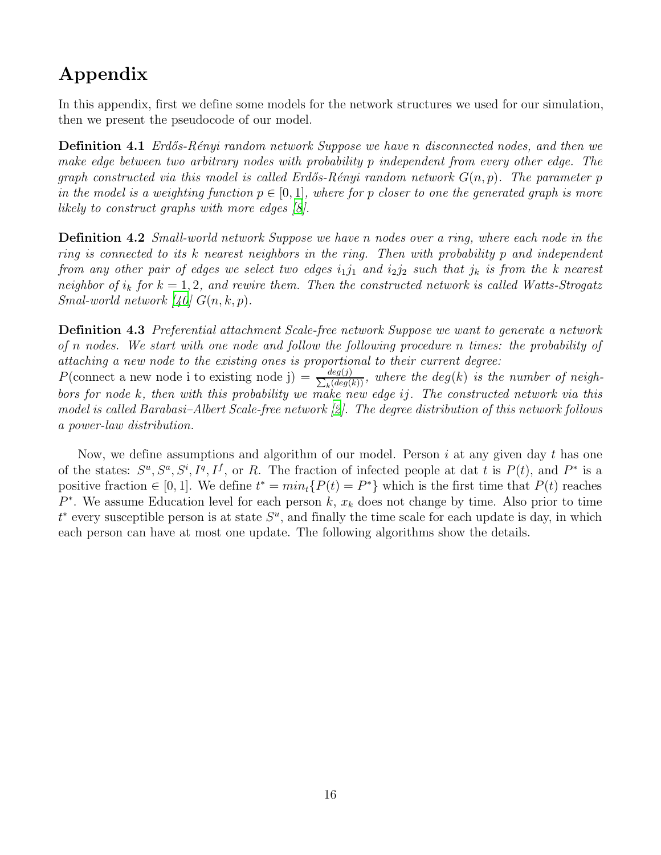# Appendix

In this appendix, first we define some models for the network structures we used for our simulation, then we present the pseudocode of our model.

Definition 4.1 *Erd˝os-R´enyi random network Suppose we have* n *disconnected nodes, and then we make edge between two arbitrary nodes with probability* p *independent from every other edge. The graph constructed via this model is called Erdős-Rényi random network*  $G(n, p)$ *. The parameter* p *in the model is a weighting function*  $p \in [0, 1]$ *, where for* p *closer to one the generated graph is more likely to construct graphs with more edges [\[8\]](#page-12-10).*

Definition 4.2 *Small-world network Suppose we have* n *nodes over a ring, where each node in the ring is connected to its* k *nearest neighbors in the ring. Then with probability* p *and independent from any other pair of edges we select two edges*  $i_1j_1$  *and*  $i_2j_2$  *such that*  $j_k$  *is from the k nearest neighbor of*  $i_k$  *for*  $k = 1, 2$ *, and rewire them. Then the constructed network is called Watts-Strogatz Smal-world network*  $[40]$   $G(n, k, p)$ .

Definition 4.3 *Preferential attachment Scale-free network Suppose we want to generate a network of* n *nodes. We start with one node and follow the following procedure* n *times: the probability of attaching a new node to the existing ones is proportional to their current degree:*

P(connect a new node i to existing node j) =  $\frac{deg(j)}{\sum (deg)}$  $\frac{deg(j)}{k\left(deg(k)\right)}$ , where the  $deg(k)$  is the number of neigh*bors for node* k*, then with this probability we make new edge* ij*. The constructed network via this model is called Barabasi–Albert Scale-free network [\[2\]](#page-11-1). The degree distribution of this network follows a power-law distribution.*

Now, we define assumptions and algorithm of our model. Person  $i$  at any given day  $t$  has one of the states:  $S^u$ ,  $S^a$ ,  $S^i$ ,  $I^q$ ,  $I^f$ , or R. The fraction of infected people at dat t is  $P(t)$ , and  $P^*$  is a positive fraction  $\in [0, 1]$ . We define  $t^* = min_t\{P(t) = P^*\}$  which is the first time that  $P(t)$  reaches  $P^*$ . We assume Education level for each person k,  $x_k$  does not change by time. Also prior to time  $t^*$  every susceptible person is at state  $S^u$ , and finally the time scale for each update is day, in which each person can have at most one update. The following algorithms show the details.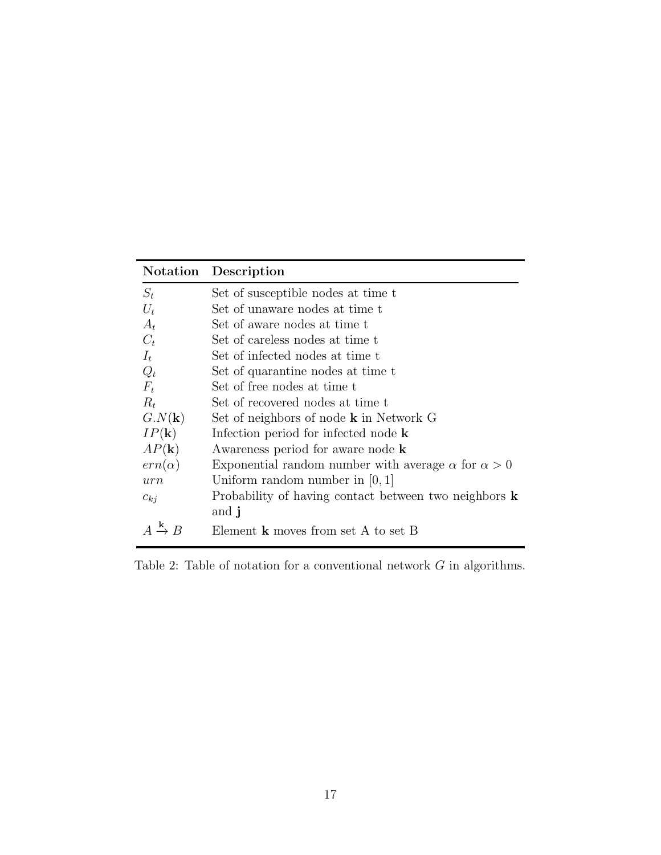|                                          | Notation Description                                             |
|------------------------------------------|------------------------------------------------------------------|
| $S_t$                                    | Set of susceptible nodes at time t                               |
| $U_t$                                    | Set of unaware nodes at time t                                   |
| $A_t$                                    | Set of aware nodes at time t                                     |
| $C_t$                                    | Set of careless nodes at time t                                  |
| $I_t$                                    | Set of infected nodes at time t                                  |
| $Q_t$                                    | Set of quarantine nodes at time t                                |
| $F_t$                                    | Set of free nodes at time t                                      |
| $R_t$                                    | Set of recovered nodes at time t                                 |
| $G.N(\mathbf{k})$                        | Set of neighbors of node <b>k</b> in Network G                   |
| $IP(\mathbf{k})$                         | Infection period for infected node $\bf{k}$                      |
| $AP(\mathbf{k})$                         | Awareness period for aware node <b>k</b>                         |
| $ern(\alpha)$                            | Exponential random number with average $\alpha$ for $\alpha > 0$ |
| urn                                      | Uniform random number in $[0,1]$                                 |
| $c_{kj}$                                 | Probability of having contact between two neighbors $\bf{k}$     |
|                                          | and j                                                            |
| $A \stackrel{\mathbf{k}}{\rightarrow} B$ | Element $k$ moves from set A to set B                            |

Table 2: Table of notation for a conventional network  $G$  in algorithms.